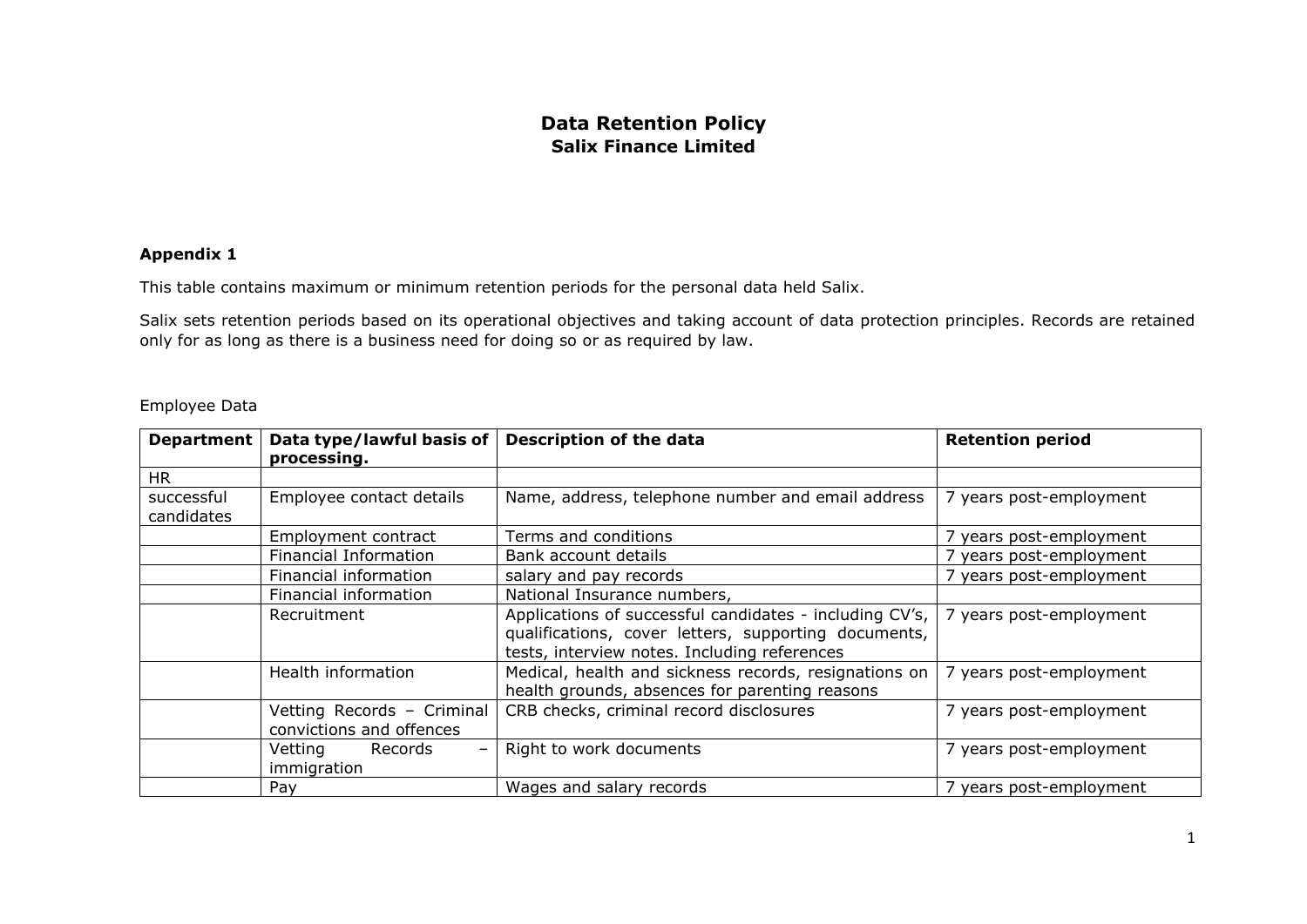## **Data Retention Policy Salix Finance Limited**

## **Appendix 1**

This table contains maximum or minimum retention periods for the personal data held Salix.

Salix sets retention periods based on its operational objectives and taking account of data protection principles. Records are retained only for as long as there is a business need for doing so or as required by law.

|  | Employee Data |
|--|---------------|
|  |               |

| <b>Department</b>        | Data type/lawful basis of<br>processing.               | <b>Description of the data</b>                                                                                                                                  | <b>Retention period</b> |
|--------------------------|--------------------------------------------------------|-----------------------------------------------------------------------------------------------------------------------------------------------------------------|-------------------------|
| <b>HR</b>                |                                                        |                                                                                                                                                                 |                         |
| successful<br>candidates | Employee contact details                               | Name, address, telephone number and email address                                                                                                               | 7 years post-employment |
|                          | Employment contract                                    | Terms and conditions                                                                                                                                            | 7 years post-employment |
|                          | Financial Information                                  | Bank account details                                                                                                                                            | 7 years post-employment |
|                          | Financial information                                  | salary and pay records                                                                                                                                          | 7 years post-employment |
|                          | Financial information                                  | National Insurance numbers,                                                                                                                                     |                         |
|                          | Recruitment                                            | Applications of successful candidates - including CV's,<br>qualifications, cover letters, supporting documents,<br>tests, interview notes. Including references | 7 years post-employment |
|                          | Health information                                     | Medical, health and sickness records, resignations on<br>health grounds, absences for parenting reasons                                                         | 7 years post-employment |
|                          | Vetting Records - Criminal<br>convictions and offences | CRB checks, criminal record disclosures                                                                                                                         | 7 years post-employment |
|                          | Vetting<br>Records<br>-<br>immigration                 | Right to work documents                                                                                                                                         | 7 years post-employment |
|                          | Pay                                                    | Wages and salary records                                                                                                                                        | 7 years post-employment |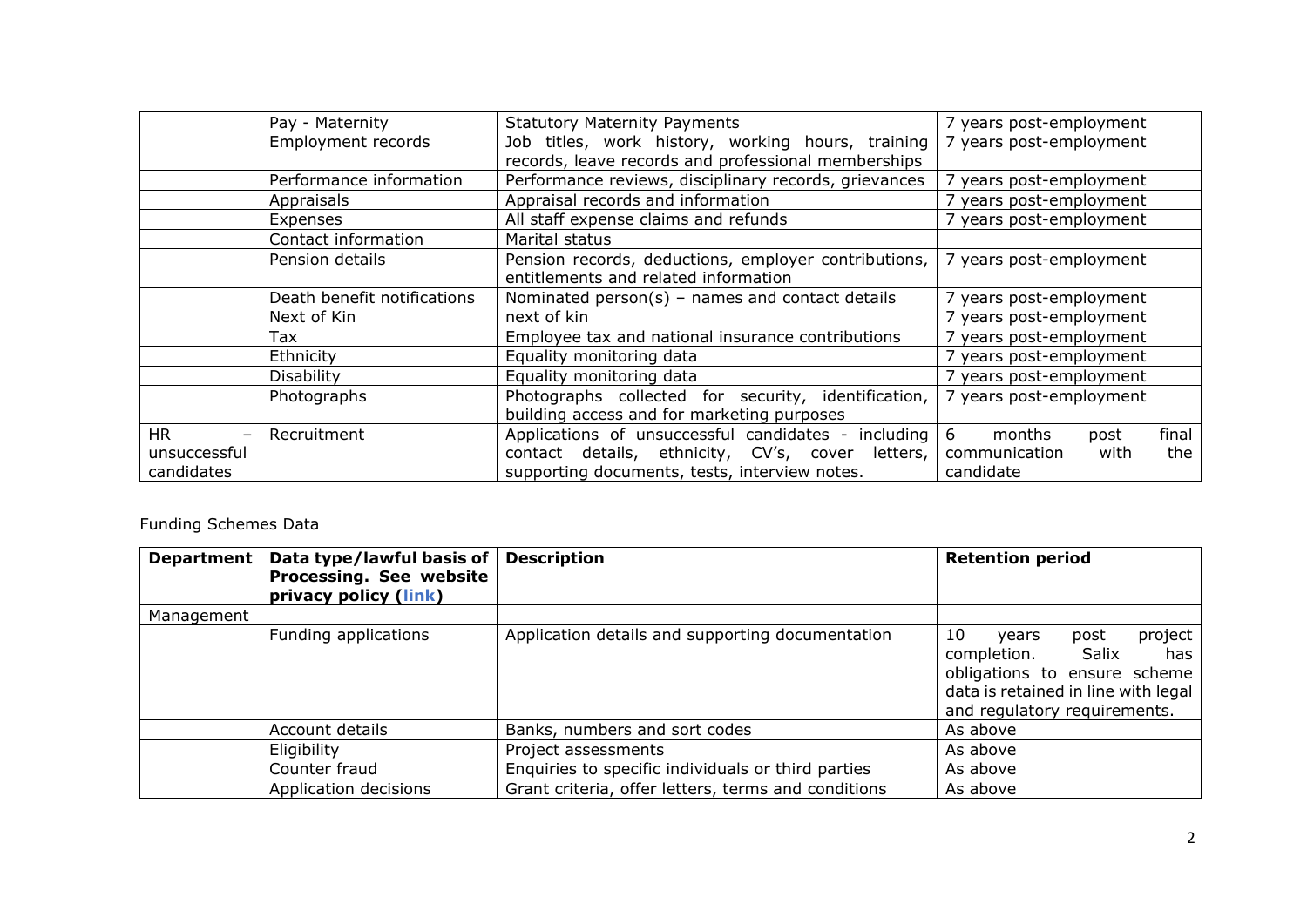|                                | Pay - Maternity             | <b>Statutory Maternity Payments</b>                   | 7 years post-employment      |
|--------------------------------|-----------------------------|-------------------------------------------------------|------------------------------|
|                                | Employment records          | Job titles, work history, working hours, training     | 7 years post-employment      |
|                                |                             | records, leave records and professional memberships   |                              |
|                                | Performance information     | Performance reviews, disciplinary records, grievances | 7 years post-employment      |
|                                | Appraisals                  | Appraisal records and information                     | 7 years post-employment      |
|                                | Expenses                    | All staff expense claims and refunds                  | 7 years post-employment      |
|                                | Contact information         | Marital status                                        |                              |
|                                | Pension details             | Pension records, deductions, employer contributions,  | 7 years post-employment      |
|                                |                             | entitlements and related information                  |                              |
|                                | Death benefit notifications | Nominated $person(s)$ – names and contact details     | 7 years post-employment      |
|                                | Next of Kin                 | next of kin                                           | 7 years post-employment      |
|                                | Tax                         | Employee tax and national insurance contributions     | 7 years post-employment      |
|                                | Ethnicity                   | Equality monitoring data                              | 7 years post-employment      |
|                                | Disability                  | Equality monitoring data                              | 7 years post-employment      |
|                                | Photographs                 | Photographs collected for security, identification,   | 7 years post-employment      |
|                                |                             | building access and for marketing purposes            |                              |
| <b>HR</b><br>$\qquad \qquad -$ | Recruitment                 | Applications of unsuccessful candidates - including   | 6<br>final<br>months<br>post |
| unsuccessful                   |                             | contact details, ethnicity, CV's, cover<br>letters,   | the<br>communication<br>with |
| candidates                     |                             | supporting documents, tests, interview notes.         | candidate                    |

## Funding Schemes Data

| <b>Department</b> | Data type/lawful basis of<br>Processing. See website<br>privacy policy (link) | <b>Description</b>                                  | <b>Retention period</b>                                                                                                                                           |
|-------------------|-------------------------------------------------------------------------------|-----------------------------------------------------|-------------------------------------------------------------------------------------------------------------------------------------------------------------------|
| Management        |                                                                               |                                                     |                                                                                                                                                                   |
|                   | Funding applications                                                          | Application details and supporting documentation    | project<br>10<br>post<br>years<br>completion. Salix<br>has<br>obligations to ensure scheme<br>data is retained in line with legal<br>and regulatory requirements. |
|                   | Account details                                                               | Banks, numbers and sort codes                       | As above                                                                                                                                                          |
|                   | Eligibility                                                                   | Project assessments                                 | As above                                                                                                                                                          |
|                   | Counter fraud                                                                 | Enquiries to specific individuals or third parties  | As above                                                                                                                                                          |
|                   | Application decisions                                                         | Grant criteria, offer letters, terms and conditions | As above                                                                                                                                                          |